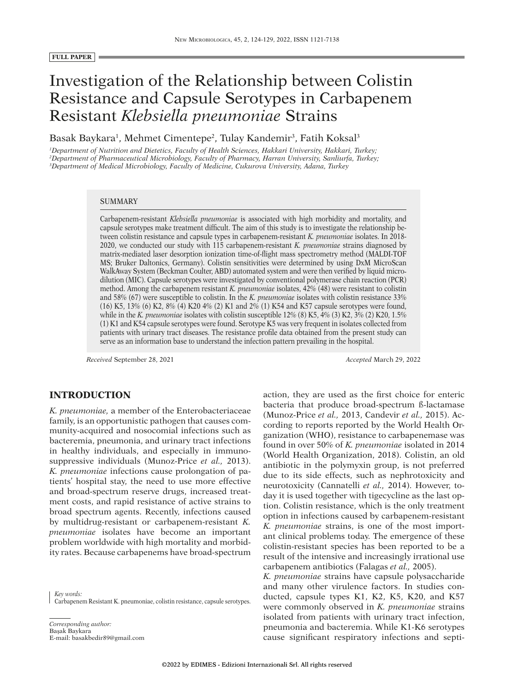# Investigation of the Relationship between Colistin Resistance and Capsule Serotypes in Carbapenem Resistant *Klebsiella pneumoniae* Strains

Basak Baykara<sup>1</sup>, Mehmet Cimentepe<sup>2</sup>, Tulay Kandemir<sup>3</sup>, Fatih Koksal<sup>3</sup>

*1 Department of Nutrition and Dietetics, Faculty of Health Sciences, Hakkari University, Hakkari, Turkey; 2 Department of Pharmaceutical Microbiology, Faculty of Pharmacy, Harran University, Sanliurfa, Turkey; 3 Department of Medical Microbiology, Faculty of Medicine, Cukurova University, Adana, Turkey*

#### **SUMMARY**

Carbapenem-resistant *Klebsiella pneumoniae* is associated with high morbidity and mortality, and capsule serotypes make treatment difficult. The aim of this study is to investigate the relationship between colistin resistance and capsule types in carbapenem-resistant *K. pneumoniae* isolates. In 2018- 2020, we conducted our study with 115 carbapenem-resistant *K. pneumoniae* strains diagnosed by matrix-mediated laser desorption ionization time-of-flight mass spectrometry method (MALDI-TOF MS; Bruker Daltonics, Germany). Colistin sensitivities were determined by using DxM MicroScan WalkAway System (Beckman Coulter, ABD) automated system and were then verified by liquid microdilution (MIC). Capsule serotypes were investigated by conventional polymerase chain reaction (PCR) method. Among the carbapenem resistant *K. pneumoniae* isolates, 42% (48) were resistant to colistin and 58% (67) were susceptible to colistin. In the *K. pneumoniae* isolates with colistin resistance 33% (16) K5, 13% (6) K2, 8% (4) K20 4% (2) K1 and 2% (1) K54 and K57 capsule serotypes were found, while in the *K. pneumoniae* isolates with colistin susceptible  $12\%$  (8) K5, 4% (3) K2, 3% (2) K20, 1.5% (1) K1 and K54 capsule serotypes were found. Serotype K5 was very frequent in isolates collected from patients with urinary tract diseases. The resistance profile data obtained from the present study can serve as an information base to understand the infection pattern prevailing in the hospital.

*Received* September 28, 2021 *Accepted* March 29, 2022

# **INTRODUCTION**

*K. pneumoniae,* a member of the Enterobacteriaceae family, is an opportunistic pathogen that causes community-acquired and nosocomial infections such as bacteremia, pneumonia, and urinary tract infections in healthy individuals, and especially in immunosuppressive individuals (Munoz-Price *et al.,* 2013). *K. pneumoniae* infections cause prolongation of patients' hospital stay, the need to use more effective and broad-spectrum reserve drugs, increased treatment costs, and rapid resistance of active strains to broad spectrum agents. Recently, infections caused by multidrug-resistant or carbapenem-resistant *K. pneumoniae* isolates have become an important problem worldwide with high mortality and morbidity rates. Because carbapenems have broad-spectrum

*Key words:* Carbapenem Resistant K. pneumoniae, colistin resistance, capsule serotypes.

*Corresponding author:* Başak Baykara E-mail: basakbedir89@gmail.com action, they are used as the first choice for enteric bacteria that produce broad-spectrum ß-lactamase (Munoz-Price *et al.,* 2013, Candevir *et al.,* 2015). According to reports reported by the World Health Organization (WHO), resistance to carbapenemase was found in over 50% of *K. pneumoniae* isolated in 2014 (World Health Organization, 2018). Colistin, an old antibiotic in the polymyxin group, is not preferred due to its side effects, such as nephrotoxicity and neurotoxicity (Cannatelli *et al.,* 2014). However, today it is used together with tigecycline as the last option. Colistin resistance, which is the only treatment option in infections caused by carbapenem-resistant *K. pneumoniae* strains, is one of the most important clinical problems today. The emergence of these colistin-resistant species has been reported to be a result of the intensive and increasingly irrational use carbapenem antibiotics (Falagas *et al.,* 2005).

*K. pneumoniae* strains have capsule polysaccharide and many other virulence factors. In studies conducted, capsule types K1, K2, K5, K20, and K57 were commonly observed in *K. pneumoniae* strains isolated from patients with urinary tract infection, pneumonia and bacteremia. While K1-K6 serotypes cause significant respiratory infections and septi-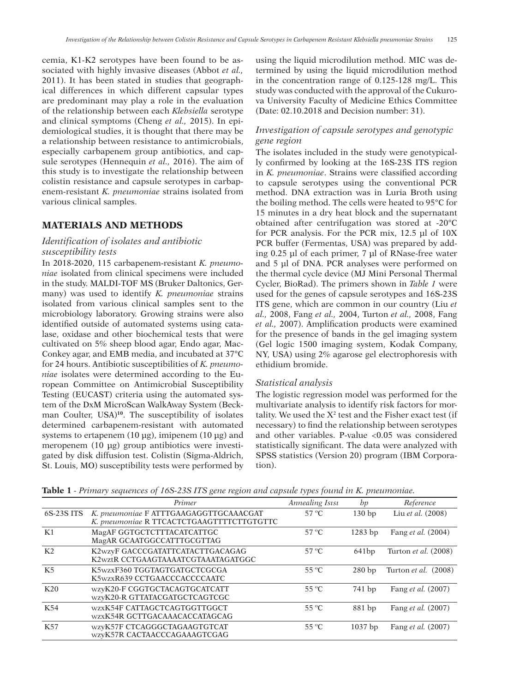cemia, K1-K2 serotypes have been found to be associated with highly invasive diseases (Abbot *et al.,* 2011). It has been stated in studies that geographical differences in which different capsular types are predominant may play a role in the evaluation of the relationship between each *Klebsiella* serotype and clinical symptoms (Cheng *et al.,* 2015). In epidemiological studies, it is thought that there may be a relationship between resistance to antimicrobials, especially carbapenem group antibiotics, and capsule serotypes (Hennequin *et al.,* 2016). The aim of this study is to investigate the relationship between colistin resistance and capsule serotypes in carbapenem-resistant *K. pneumoniae* strains isolated from various clinical samples.

# **MATERIALS AND METHODS**

# *Identification of isolates and antibiotic susceptibility tests*

In 2018-2020, 115 carbapenem-resistant *K. pneumoniae* isolated from clinical specimens were included in the study. MALDI-TOF MS (Bruker Daltonics, Germany) was used to identify *K. pneumoniae* strains isolated from various clinical samples sent to the microbiology laboratory. Growing strains were also identified outside of automated systems using catalase, oxidase and other biochemical tests that were cultivated on 5% sheep blood agar, Endo agar, Mac-Conkey agar, and EMB media, and incubated at 37°C for 24 hours. Antibiotic susceptibilities of *K. pneumoniae* isolates were determined according to the European Committee on Antimicrobial Susceptibility Testing (EUCAST) criteria using the automated system of the DxM MicroScan WalkAway System (Beckman Coulter, USA)**<sup>10</sup>**. The susceptibility of isolates determined carbapenem-resistant with automated systems to ertapenem (10 μg), imipenem (10 μg) and meropenem (10 μg) group antibiotics were investigated by disk diffusion test. Colistin (Sigma-Aldrich, St. Louis, MO) susceptibility tests were performed by

using the liquid microdilution method. MIC was determined by using the liquid microdilution method in the concentration range of 0.125-128 mg/L. This study was conducted with the approval of the Cukurova University Faculty of Medicine Ethics Committee (Date: 02.10.2018 and Decision number: 31).

# *Investigation of capsule serotypes and genotypic gene region*

The isolates included in the study were genotypically confirmed by looking at the 16S-23S ITS region in *K. pneumoniae*. Strains were classified according to capsule serotypes using the conventional PCR method. DNA extraction was in Luria Broth using the boiling method. The cells were heated to 95°C for 15 minutes in a dry heat block and the supernatant obtained after centrifugation was stored at -20°C for PCR analysis. For the PCR mix, 12.5 µl of 10X PCR buffer (Fermentas, USA) was prepared by adding 0.25 µl of each primer, 7 µl of RNase-free water and 5 µl of DNA. PCR analyses were performed on the thermal cycle device (MJ Mini Personal Thermal Cycler, BioRad). The primers shown in *Table 1* were used for the genes of capsule serotypes and 16S-23S ITS gene, which are common in our country (Liu *et al.,* 2008, Fang *et al.,* 2004, Turton *et al.,* 2008, Fang *et al.,* 2007). Amplification products were examined for the presence of bands in the gel imaging system (Gel logic 1500 imaging system, Kodak Company, NY, USA) using 2% agarose gel electrophoresis with ethidium bromide.

## *Statistical analysis*

The logistic regression model was performed for the multivariate analysis to identify risk factors for mortality. We used the  $X^2$  test and the Fisher exact test (if necessary) to find the relationship between serotypes and other variables. P-value <0.05 was considered statistically significant. The data were analyzed with SPSS statistics (Version 20) program (IBM Corporation).

| <b>Tuble 1</b> Thinking sequences of 100 250 110 gene region and easpoile types found in <b>i</b> x. phenmomae, |                                                                                     |                 |                   |                           |  |  |  |  |  |
|-----------------------------------------------------------------------------------------------------------------|-------------------------------------------------------------------------------------|-----------------|-------------------|---------------------------|--|--|--|--|--|
|                                                                                                                 | Primer                                                                              | Annealing Isisi | bp                | Reference                 |  |  |  |  |  |
| 6S-23S ITS                                                                                                      | K. pneumoniae F ATTTGAAGAGGTTGCAAACGAT<br>K. pneumoniae R TTCACTCTGAAGTTTTCTTGTGTTC | $57^{\circ}$ C  | 130 <sub>bp</sub> | Liu et al. (2008)         |  |  |  |  |  |
| K1                                                                                                              | MagAF GGTGCTCTTTACATCATTGC<br>MagAR GCAATGGCCATTTGCGTTAG                            | $57^{\circ}$ C  | $1283$ bp         | Fang <i>et al.</i> (2004) |  |  |  |  |  |
| K <sub>2</sub>                                                                                                  | K2wzyF GACCCGATATTCATACTTGACAGAG<br>K2wztR CCTGAAGTAAAATCGTAAATAGATGGC              | $57^{\circ}$ C  | 641 <sub>bp</sub> | Turton et al. (2008)      |  |  |  |  |  |
| K <sub>5</sub>                                                                                                  | K5wzxF360 TGGTAGTGATGCTCGCGA<br>K5wzxR639 CCTGAACCCACCCCAATC                        | $55^{\circ}$ C  | 280bp             | Turton et al. (2008)      |  |  |  |  |  |
| <b>K20</b>                                                                                                      | wzyK20-F CGGTGCTACAGTGCATCATT<br>wzyK20-R GTTATACGATGCTCAGTCGC                      | $55^{\circ}$ C  | 741 bp            | Fang <i>et al.</i> (2007) |  |  |  |  |  |
| K54                                                                                                             | WZXK54F CATTAGCTCAGTGGTTGGCT<br>WZXK54R GCTTGACAAACACCATAGCAG                       | $55^{\circ}$ C  | 881 bp            | Fang et al. (2007)        |  |  |  |  |  |
| <b>K57</b>                                                                                                      | WZVK57F CTCAGGGCTAGAAGTGTCAT<br>WZVK57R CACTAACCCAGAAAGTCGAG                        | $55^{\circ}$ C  | $1037$ bp         | Fang <i>et al.</i> (2007) |  |  |  |  |  |

**Table 1** *- Primary sequences of 16S-23S ITS gene region and capsule types found in K. pneumoniae.*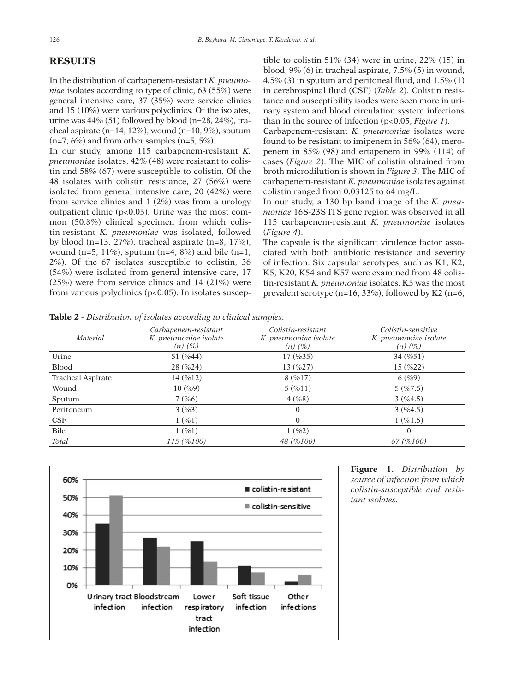## **RESULTS**

In the distribution of carbapenem-resistant *K. pneumoniae* isolates according to type of clinic, 63 (55%) were general intensive care, 37 (35%) were service clinics and 15 (10%) were various polyclinics. Of the isolates, urine was 44% (51) followed by blood (n=28, 24%), tracheal aspirate (n=14, 12%), wound (n=10,  $9\%$ ), sputum  $(n=7, 6\%)$  and from other samples  $(n=5, 5\%).$ 

In our study, among 115 carbapenem-resistant *K. pneumoniae* isolates, 42% (48) were resistant to colistin and 58% (67) were susceptible to colistin. Of the 48 isolates with colistin resistance, 27 (56%) were isolated from general intensive care, 20 (42%) were from service clinics and 1 (2%) was from a urology outpatient clinic (p<0.05). Urine was the most common (50.8%) clinical specimen from which colistin-resistant *K. pneumoniae* was isolated, followed by blood (n=13, 27%), tracheal aspirate (n=8, 17%), wound (n=5, 11%), sputum (n=4, 8%) and bile (n=1, 2%). Of the 67 isolates susceptible to colistin, 36 (54%) were isolated from general intensive care, 17 (25%) were from service clinics and 14 (21%) were from various polyclinics (p<0.05). In isolates susceptible to colistin 51% (34) were in urine,  $22\%$  (15) in blood, 9% (6) in tracheal aspirate, 7.5% (5) in wound, 4.5% (3) in sputum and peritoneal fluid, and 1.5% (1) in cerebrospinal fluid (CSF) (*Table 2*). Colistin resistance and susceptibility isodes were seen more in urinary system and blood circulation system infections than in the source of infection (p<0.05, *Figure 1*).

Carbapenem-resistant *K. pneumoniae* isolates were found to be resistant to imipenem in 56% (64), meropenem in 85% (98) and ertapenem in 99% (114) of cases (*Figure 2*). The MIC of colistin obtained from broth microdilution is shown in *Figure 3*. The MIC of carbapenem-resistant *K. pneumoniae* isolates against colistin ranged from 0.03125 to 64 mg/L.

In our study, a 130 bp band image of the *K. pneumoniae* 16S-23S ITS gene region was observed in all 115 carbapenem-resistant *K. pneumoniae* isolates (*Figure 4*).

The capsule is the significant virulence factor associated with both antibiotic resistance and severity of infection. Six capsular serotypes, such as K1, K2, K5, K20, K54 and K57 were examined from 48 colistin-resistant *K. pneumoniae* isolates. K5 was the most prevalent serotype (n=16, 33%), followed by K2 (n=6,

**Table 2** *- Distribution of isolates according to clinical samples.*

|                   |                                                               | $\mathbf{A}$                                                |                                                             |
|-------------------|---------------------------------------------------------------|-------------------------------------------------------------|-------------------------------------------------------------|
| <i>Material</i>   | Carbapenem-resistant<br>K. pneumoniae isolate<br>$(n)$ $(\%)$ | Colistin-resistant<br>K. pneumoniae isolate<br>$(n)$ $(\%)$ | Colistin-sensitive<br>K. pneumoniae isolate<br>$(n)$ $(\%)$ |
| Urine             | 51 $(%44)$                                                    | 17(%35)                                                     | 34(%51)                                                     |
| <b>Blood</b>      | 28 (%24)                                                      | 13 $(%27)$                                                  | $15 \left( \%22 \right)$                                    |
| Tracheal Aspirate | 14(%12)                                                       | 8(%17)                                                      | 6(%9)                                                       |
| Wound             | 10(%9)                                                        | 5(%11)                                                      | 5(%7.5)                                                     |
| Sputum            | 7(%6)                                                         | 4(%8)                                                       | 3(%4.5)                                                     |
| Peritoneum        | 3(%3)                                                         | $\Omega$                                                    | 3(%4.5)                                                     |
| CSF               | 1(%1)                                                         | $\Omega$                                                    | 1(%1.5)                                                     |
| Bile              | 1(%1)                                                         | 1(%2)                                                       | $\overline{0}$                                              |
| Total             | 115 (%100)                                                    | 48 (%100)                                                   | 67 (%100)                                                   |



**Figure 1.** *Distribution by source of infection from which colistin-susceptible and resistant isolates.*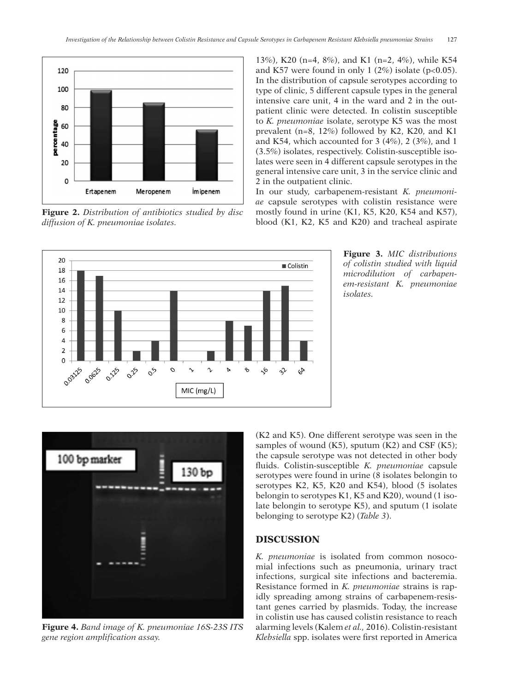

**Figure 2.** *Distribution of antibiotics studied by disc diffusion of K. pneumoniae isolates.*

13%), K20 (n=4, 8%), and K1 (n=2, 4%), while K54 and K57 were found in only 1  $(2%)$  isolate (p<0.05). In the distribution of capsule serotypes according to type of clinic, 5 different capsule types in the general intensive care unit, 4 in the ward and 2 in the outpatient clinic were detected. In colistin susceptible to *K. pneumoniae* isolate, serotype K5 was the most prevalent (n=8, 12%) followed by K2, K20, and K1 and K54, which accounted for 3 (4%), 2 (3%), and 1 (3.5%) isolates, respectively. Colistin-susceptible isolates were seen in 4 different capsule serotypes in the general intensive care unit, 3 in the service clinic and 2 in the outpatient clinic.

In our study, carbapenem-resistant *K. pneumoniae* capsule serotypes with colistin resistance were mostly found in urine (K1, K5, K20, K54 and K57), blood (K1, K2, K5 and K20) and tracheal aspirate







**Figure 4.** *Band image of K. pneumoniae 16S-23S ITS gene region amplification assay.*

(K2 and K5). One different serotype was seen in the samples of wound  $(K5)$ , sputum  $(K2)$  and CSF  $(K5)$ ; the capsule serotype was not detected in other body fluids. Colistin-susceptible *K. pneumoniae* capsule serotypes were found in urine (8 isolates belongin to serotypes K2, K5, K20 and K54), blood (5 isolates belongin to serotypes K1, K5 and K20), wound (1 isolate belongin to serotype K5), and sputum (1 isolate belonging to serotype K2) (*Table 3*).

# **DISCUSSION**

*K. pneumoniae* is isolated from common nosocomial infections such as pneumonia, urinary tract infections, surgical site infections and bacteremia. Resistance formed in *K. pneumoniae* strains is rapidly spreading among strains of carbapenem-resistant genes carried by plasmids. Today, the increase in colistin use has caused colistin resistance to reach alarming levels (Kalem *et al.,* 2016). Colistin-resistant *Klebsiella* spp. isolates were first reported in America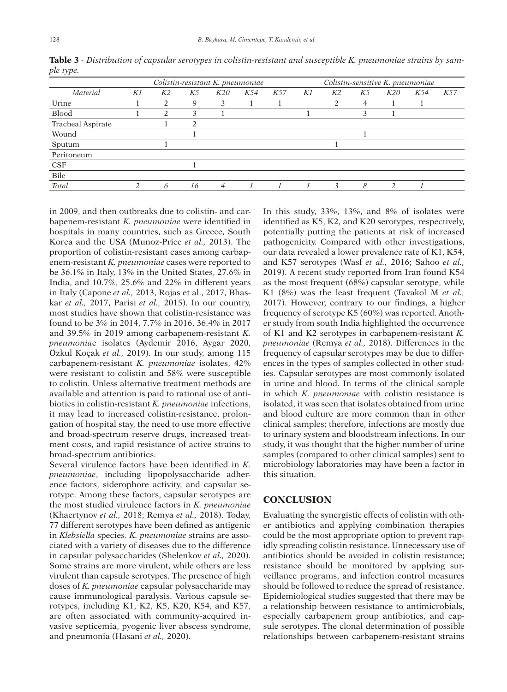|                   | Colistin-resistant K. pneumoniae |                |    |     | Colistin-sensitive K. pneumoniae |     |    |                |    |               |     |     |
|-------------------|----------------------------------|----------------|----|-----|----------------------------------|-----|----|----------------|----|---------------|-----|-----|
| Material          | K1                               | K <sub>2</sub> | K5 | K20 | K54                              | K57 | K1 | K <sub>2</sub> | K5 | K20           | K54 | K57 |
| Urine             |                                  | $\mathfrak{D}$ | 9  | 3   |                                  |     |    | $\mathfrak{D}$ | 4  |               |     |     |
| <b>Blood</b>      |                                  | 2              | 3  |     |                                  |     |    |                | 3  |               |     |     |
| Tracheal Aspirate |                                  |                | າ  |     |                                  |     |    |                |    |               |     |     |
| Wound             |                                  |                |    |     |                                  |     |    |                |    |               |     |     |
| Sputum            |                                  |                |    |     |                                  |     |    |                |    |               |     |     |
| Peritoneum        |                                  |                |    |     |                                  |     |    |                |    |               |     |     |
| <b>CSF</b>        |                                  |                |    |     |                                  |     |    |                |    |               |     |     |
| Bile              |                                  |                |    |     |                                  |     |    |                |    |               |     |     |
| <b>Total</b>      | $\mathcal{L}$                    | 6              | 16 | 4   |                                  |     |    | 3              | 8  | $\mathcal{P}$ |     |     |

**Table 3** *- Distribution of capsular serotypes in colistin-resistant and susceptible K. pneumoniae strains by sample type.*

in 2009, and then outbreaks due to colistin- and carbapenem-resistant *K. pneumoniae* were identified in hospitals in many countries, such as Greece, South Korea and the USA (Munoz-Price *et al.,* 2013). The proportion of colistin-resistant cases among carbapenem-resistant *K. pneumoniae* cases were reported to be 36.1% in Italy, 13% in the United States, 27.6% in India, and 10.7%, 25.6% and 22% in different years in Italy (Capone *et al.,* 2013, Rojas et al., 2017, Bhaskar *et al.,* 2017, Parisi *et al.,* 2015). In our country, most studies have shown that colistin-resistance was found to be 3% in 2014, 7.7% in 2016, 36.4% in 2017 and 39.5% in 2019 among carbapenem-resistant *K. pneumonia*e isolates (Aydemir 2016, Aygar 2020, Özkul Koçak *et al.,* 2019). In our study, among 115 carbapenem-resistant *K. pneumoniae* isolates, 42% were resistant to colistin and 58% were susceptible to colistin. Unless alternative treatment methods are available and attention is paid to rational use of antibiotics in colistin-resistant *K. pneumoniae* infections, it may lead to increased colistin-resistance, prolongation of hospital stay, the need to use more effective and broad-spectrum reserve drugs, increased treatment costs, and rapid resistance of active strains to broad-spectrum antibiotics.

Several virulence factors have been identified in *K. pneumoniae*, including lipopolysaccharide adherence factors, siderophore activity, and capsular serotype. Among these factors, capsular serotypes are the most studied virulence factors in *K. pneumoniae* (Khaertynov *et al.,* 2018; Remya *et al.,* 2018). Today, 77 different serotypes have been defined as antigenic in *Klebsiella* species. *K. pneumoniae* strains are associated with a variety of diseases due to the difference in capsular polysaccharides (Shelenkov *et al.,* 2020). Some strains are more virulent, while others are less virulent than capsule serotypes. The presence of high doses of *K. pneumoniae* capsular polysaccharide may cause immunological paralysis. Various capsule serotypes, including K1, K2, K5, K20, K54, and K57, are often associated with community-acquired invasive septicemia, pyogenic liver abscess syndrome, and pneumonia (Hasani *et al.,* 2020).

In this study, 33%, 13%, and 8% of isolates were identified as K5, K2, and K20 serotypes, respectively, potentially putting the patients at risk of increased pathogenicity. Compared with other investigations, our data revealed a lower prevalence rate of K1, K54, and K57 serotypes (Wasf *et al.,* 2016; Sahoo *et al.,* 2019). A recent study reported from Iran found K54 as the most frequent (68%) capsular serotype, while K1 (8%) was the least frequent (Tavakol M *et al.,* 2017). However, contrary to our findings, a higher frequency of serotype K5 (60%) was reported. Another study from south India highlighted the occurrence of K1 and K2 serotypes in carbapenem-resistant *K. pneumoniae* (Remya *et al.,* 2018). Differences in the frequency of capsular serotypes may be due to differences in the types of samples collected in other studies. Capsular serotypes are most commonly isolated in urine and blood. In terms of the clinical sample in which *K. pneumoniae* with colistin resistance is isolated, it was seen that isolates obtained from urine and blood culture are more common than in other clinical samples; therefore, infections are mostly due to urinary system and bloodstream infections. In our study, it was thought that the higher number of urine samples (compared to other clinical samples) sent to microbiology laboratories may have been a factor in this situation.

## **CONCLUSION**

Evaluating the synergistic effects of colistin with other antibiotics and applying combination therapies could be the most appropriate option to prevent rapidly spreading colistin resistance. Unnecessary use of antibiotics should be avoided in colistin resistance; resistance should be monitored by applying surveillance programs, and infection control measures should be followed to reduce the spread of resistance. Epidemiological studies suggested that there may be a relationship between resistance to antimicrobials, especially carbapenem group antibiotics, and capsule serotypes. The clonal determination of possible relationships between carbapenem-resistant strains